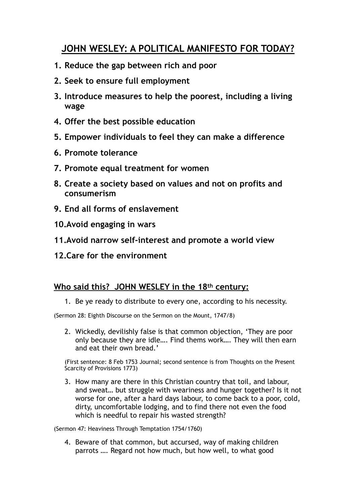## **JOHN WESLEY: A POLITICAL MANIFESTO FOR TODAY?**

- **1. Reduce the gap between rich and poor**
- **2. Seek to ensure full employment**
- **3. Introduce measures to help the poorest, including a living wage**
- **4. Offer the best possible education**
- **5. Empower individuals to feel they can make a difference**
- **6. Promote tolerance**
- **7. Promote equal treatment for women**
- **8. Create a society based on values and not on profits and consumerism**
- **9. End all forms of enslavement**
- **10.Avoid engaging in wars**
- **11.Avoid narrow self-interest and promote a world view**
- **12.Care for the environment**

## **Who said this? JOHN WESLEY in the 18th century:**

1. Be ye ready to distribute to every one, according to his necessity.

(Sermon 28: Eighth Discourse on the Sermon on the Mount, 1747/8)

2. Wickedly, devilishly false is that common objection, 'They are poor only because they are idle…. Find thems work…. They will then earn and eat their own bread.'

(First sentence: 8 Feb 1753 Journal; second sentence is from Thoughts on the Present Scarcity of Provisions 1773)

3. How many are there in this Christian country that toil, and labour, and sweat… but struggle with weariness and hunger together? Is it not worse for one, after a hard days labour, to come back to a poor, cold, dirty, uncomfortable lodging, and to find there not even the food which is needful to repair his wasted strength?

(Sermon 47: Heaviness Through Temptation 1754/1760)

4. Beware of that common, but accursed, way of making children parrots …. Regard not how much, but how well, to what good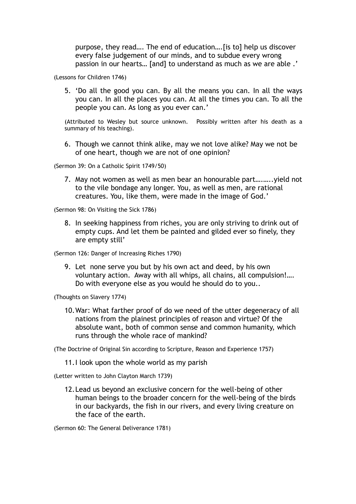purpose, they read…. The end of education….[is to] help us discover every false judgement of our minds, and to subdue every wrong passion in our hearts… [and] to understand as much as we are able .'

(Lessons for Children 1746)

5. 'Do all the good you can. By all the means you can. In all the ways you can. In all the places you can. At all the times you can. To all the people you can. As long as you ever can.'

(Attributed to Wesley but source unknown. Possibly written after his death as a summary of his teaching).

6. Though we cannot think alike, may we not love alike? May we not be of one heart, though we are not of one opinion?

(Sermon 39: On a Catholic Spirit 1749/50)

7. May not women as well as men bear an honourable part….…..yield not to the vile bondage any longer. You, as well as men, are rational creatures. You, like them, were made in the image of God.'

(Sermon 98: On Visiting the Sick 1786)

8. In seeking happiness from riches, you are only striving to drink out of empty cups. And let them be painted and gilded ever so finely, they are empty still'

(Sermon 126: Danger of Increasing Riches 1790)

9. Let none serve you but by his own act and deed, by his own voluntary action. Away with all whips, all chains, all compulsion!…. Do with everyone else as you would he should do to you..

(Thoughts on Slavery 1774)

10.War: What farther proof of do we need of the utter degeneracy of all nations from the plainest principles of reason and virtue? Of the absolute want, both of common sense and common humanity, which runs through the whole race of mankind?

(The Doctrine of Original Sin according to Scripture, Reason and Experience 1757)

11.I look upon the whole world as my parish

(Letter written to John Clayton March 1739)

12.Lead us beyond an exclusive concern for the well-being of other human beings to the broader concern for the well-being of the birds in our backyards, the fish in our rivers, and every living creature on the face of the earth.

(Sermon 60: The General Deliverance 1781)